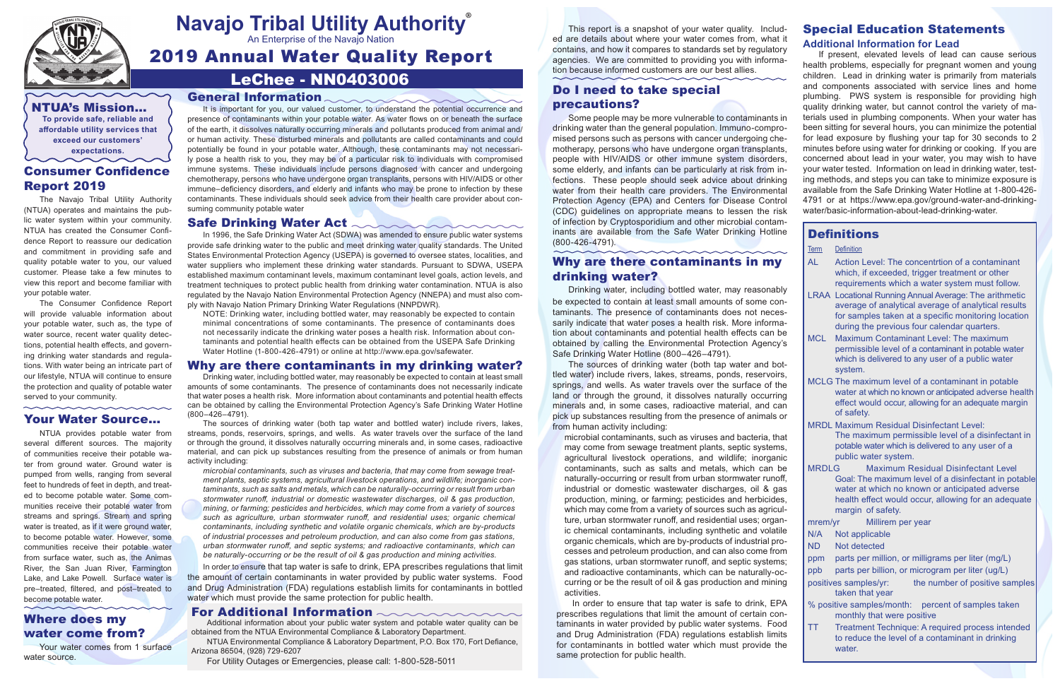## LeChee - NN0403006

2019 Annual Water Quality Report



# **Navajo Tribal Utility Authority** ®

An Enterprise of the Navajo Nation

#### General Information

It is important for you, our valued customer, to understand the potential occurrence and presence of contaminants within your potable water. As water flows on or beneath the surface of the earth, it dissolves naturally occurring minerals and pollutants produced from animal and/ or human activity. These disturbed minerals and pollutants are called contaminants and could potentially be found in your potable water. Although, these contaminants may not necessarily pose a health risk to you, they may be of a particular risk to individuals with compromised immune systems. These individuals include persons diagnosed with cancer and undergoing chemotherapy, persons who have undergone organ transplants, persons with HIV/AIDS or other immune–deficiency disorders, and elderly and infants who may be prone to infection by these contaminants. These individuals should seek advice from their health care provider about consuming community potable water

#### Safe Drinking Water Act  $\sim$

In 1996, the Safe Drinking Water Act (SDWA) was amended to ensure public water systems provide safe drinking water to the public and meet drinking water quality standards. The United States Environmental Protection Agency (USEPA) is governed to oversee states, localities, and water suppliers who implement these drinking water standards. Pursuant to SDWA, USEPA established maximum contaminant levels, maximum contaminant level goals, action levels, and treatment techniques to protect public health from drinking water contamination. NTUA is also regulated by the Navajo Nation Environmental Protection Agency (NNEPA) and must also comply with Navajo Nation Primary Drinking Water Regulations (NNPDWR).

 $\sim$ 

NOTE: Drinking water, including bottled water, may reasonably be expected to contain minimal concentrations of some contaminants. The presence of contaminants does not necessarily indicate the drinking water poses a health risk. Information about contaminants and potential health effects can be obtained from the USEPA Safe Drinking Water Hotline (1-800-426-4791) or online at http://www.epa.gov/safewater.

#### Why are there contaminants in my drinking water?

Drinking water, including bottled water, may reasonably be expected to contain at least small amounts of some contaminants. The presence of contaminants does not necessarily indicate that water poses a health risk. More information about contaminants and potential health effects can be obtained by calling the Environmental Protection Agency's Safe Drinking Water Hotline (800–426–4791).

The sources of drinking water (both tap water and bottled water) include rivers, lakes, streams, ponds, reservoirs, springs, and wells. As water travels over the surface of the land or through the ground, it dissolves naturally occurring minerals and, in some cases, radioactive material, and can pick up substances resulting from the presence of animals or from human activity including:

*microbial contaminants, such as viruses and bacteria, that may come from sewage treatment plants, septic systems, agricultural livestock operations, and wildlife; inorganic contaminants, such as salts and metals, which can be naturally-occurring or result from urban stormwater runoff, industrial or domestic wastewater discharges, oil & gas production, mining, or farming; pesticides and herbicides, which may come from a variety of sources such as agriculture, urban stormwater runoff, and residential uses; organic chemical contaminants, including synthetic and volatile organic chemicals, which are by-products of industrial processes and petroleum production, and can also come from gas stations, urban stormwater runoff, and septic systems; and radioactive contaminants, which can be naturally-occurring or be the result of oil & gas production and mining activities.*

In order to ensure that tap water is safe to drink, EPA prescribes regulations that limit the amount of certain contaminants in water provided by public water systems. Food and Drug Administration (FDA) regulations establish limits for contaminants in bottled water which must provide the same protection for public health.

#### For Additional Information **comes and reserves**

NTUA's Mission… **To provide safe, reliable and affordable utility services that exceed our customers' expectations.**

#### Consumer Confidence Report 2019

The Navajo Tribal Utility Authority (NTUA) operates and maintains the public water system within your community. NTUA has created the Consumer Confidence Report to reassure our dedication and commitment in providing safe and quality potable water to you, our valued customer. Please take a few minutes to view this report and become familiar with your potable water.

The Consumer Confidence Report will provide valuable information about your potable water, such as, the type of water source, recent water quality detections, potential health effects, and governing drinking water standards and regulations. With water being an intricate part of our lifestyle, NTUA will continue to ensure the protection and quality of potable water served to your community.

#### Your Water Source…

NTUA provides potable water from several different sources. The majority of communities receive their potable water from ground water. Ground water is pumped from wells, ranging from several feet to hundreds of feet in depth, and treated to become potable water. Some communities receive their potable water from streams and springs. Stream and spring water is treated, as if it were ground water, to become potable water. However, some communities receive their potable water from surface water, such as, the Animas River, the San Juan River, Farmington Lake, and Lake Powell. Surface water is pre–treated, filtered, and post–treated to become potable water.

- ppm parts per million, or milligrams per liter (mg/L)
- ppb parts per billion, or microgram per liter (ug/L)
- positives samples/yr: the number of positive samples taken that year
- % positive samples/month: percent of samples taken monthly that were positive
- TT Treatment Technique: A required process intended to reduce the level of a contaminant in drinking water

This report is a snapshot of your water quality. Included are details about where your water comes from, what it contains, and how it compares to standards set by regulatory agencies. We are committed to providing you with information because informed customers are our best allies.

#### Do I need to take special precautions?

Some people may be more vulnerable to contaminants in drinking water than the general population. Immuno-compromised persons such as persons with cancer undergoing chemotherapy, persons who have undergone organ transplants, people with HIV/AIDS or other immune system disorders, some elderly, and infants can be particularly at risk from infections. These people should seek advice about drinking water from their health care providers. The Environmental Protection Agency (EPA) and Centers for Disease Control (CDC) guidelines on appropriate means to lessen the risk of infection by Cryptosporidium and other microbial contaminants are available from the Safe Water Drinking Hotline (800-426-4791).

#### Why are there contaminants in my drinking water?

Drinking water, including bottled water, may reasonably be expected to contain at least small amounts of some contaminants. The presence of contaminants does not necessarily indicate that water poses a health risk. More information about contaminants and potential health effects can be obtained by calling the Environmental Protection Agency's Safe Drinking Water Hotline (800–426–4791).

The sources of drinking water (both tap water and bottled water) include rivers, lakes, streams, ponds, reservoirs, springs, and wells. As water travels over the surface of the land or through the ground, it dissolves naturally occurring minerals and, in some cases, radioactive material, and can pick up substances resulting from the presence of animals or from human activity including:

microbial contaminants, such as viruses and bacteria, that may come from sewage treatment plants, septic systems, agricultural livestock operations, and wildlife; inorganic contaminants, such as salts and metals, which can be naturally-occurring or result from urban stormwater runoff, industrial or domestic wastewater discharges, oil & gas production, mining, or farming; pesticides and herbicides, which may come from a variety of sources such as agriculture, urban stormwater runoff, and residential uses; organic chemical contaminants, including synthetic and volatile organic chemicals, which are by-products of industrial processes and petroleum production, and can also come from gas stations, urban stormwater runoff, and septic systems; and radioactive contaminants, which can be naturally-occurring or be the result of oil & gas production and mining

activities. In order to ensure that tap water is safe to drink, EPA prescribes regulations that limit the amount of certain contaminants in water provided by public water systems. Food and Drug Administration (FDA) regulations establish limits for contaminants in bottled water which must provide the same protection for public health.

# Special Education Statements

#### **Additional Information for Lead**

If present, elevated levels of lead can cause serious health problems, especially for pregnant women and young children. Lead in drinking water is primarily from materials and components associated with service lines and home plumbing. PWS system is responsible for providing high quality drinking water, but cannot control the variety of materials used in plumbing components. When your water has been sitting for several hours, you can minimize the potential for lead exposure by flushing your tap for 30 seconds to 2 minutes before using water for drinking or cooking. If you are concerned about lead in your water, you may wish to have your water tested. Information on lead in drinking water, testing methods, and steps you can take to minimize exposure is available from the Safe Drinking Water Hotline at 1-800-426- 4791 or at https://www.epa.gov/ground-water-and-drinkingwater/basic-information-about-lead-drinking-water.

### **Definitions**

| lerm | Definition |
|------|------------|
|------|------------|

| l AL | Action Level: The concentrtion of a contaminant                  |
|------|------------------------------------------------------------------|
|      | which, if exceeded, trigger treatment or other                   |
|      | requirements which a water system must follow.                   |
|      | <u>l I RAA Tocational Running Annual Average: The arithmetic</u> |

- LRAA Locational Running Annual Average: The arithmetic average of analytical average of analytical results for samples taken at a specific monitoring location during the previous four calendar quarters.
- MCL Maximum Contaminant Level: The maximum permissible level of a contaminant in potable water which is delivered to any user of a public water system.
- MCLG The maximum level of a contaminant in potable water at which no known or anticipated adverse health effect would occur, allowing for an adequate margin of safety.
- MRDL Maximum Residual Disinfectant Level: The maximum permissible level of a disinfectant in potable water which is delivered to any user of a public water system.
- MRDLG Maximum Residual Disinfectant Level Goal: The maximum level of a disinfectant in potable water at which no known or anticipated adverse health effect would occur, allowing for an adequate margin of safety.

mrem/yr Millirem per year N/A Not applicable ND Not detected

#### Where does my water come from?

Your water comes from 1 surface water source.

Additional information about your public water system and potable water quality can be obtained from the NTUA Environmental Compliance & Laboratory Department.

NTUA Environmental Compliance & Laboratory Department, P.O. Box 170, Fort Defiance, Arizona 86504, (928) 729-6207

For Utility Outages or Emergencies, please call: 1-800-528-5011